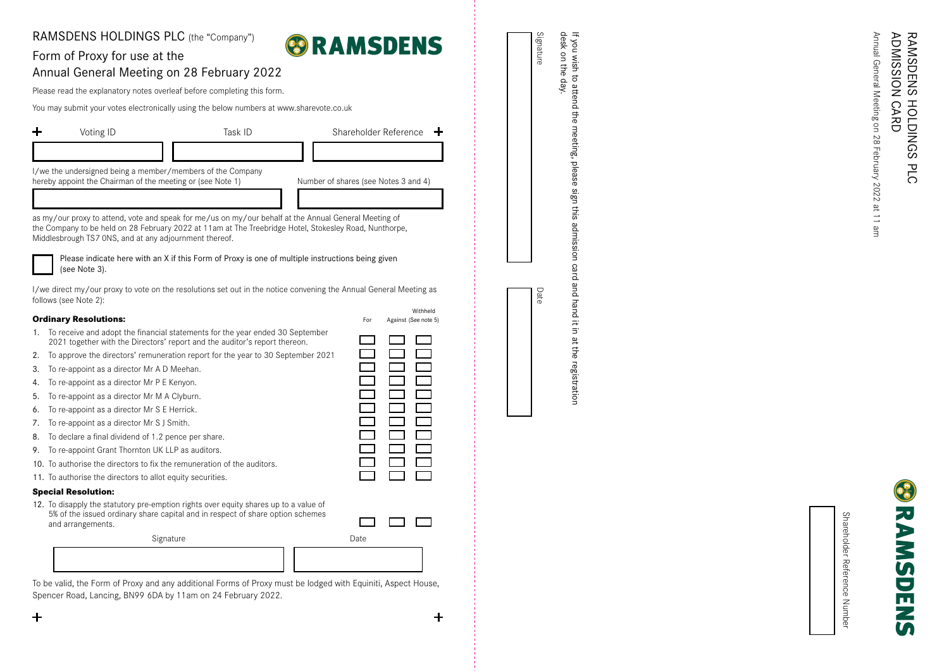## NOISSINGY CARD ADMISSION **RAMSDENS** PLC HOLDINGS RAMSDENS **CARD** HOLDINGS р<br>С

Annual General Meeting on 28

 $\frac{1}{2}$ 

Annual General Meeting

February 2022 at 11 am

 $\frac{1}{2}$  $\equiv$ 

ЭH

28 February 2022

Shareholder Reference Number Number Reference Shareholder

п

the meeting, please sign this admission card and hand litin  $\frac{1}{2}$ 

If you wish to attend<br>desk on the day. desk on the day. if you wish to attend the meeting, please sign this admission card and hand it in at the registration the registration

**Ordinary Resolutions:** The Second Second Second Second Second Second Second Second Second Second Second Second Second Second Second Second Second Second Second Second Second Second Second Second Second Second Second Secon 1. To receive and adopt the financial statements for the year ended 30 September 2021 together with the Directors' report and the auditor's report thereon.

- 2. To approve the directors' remuneration report for the year to 30 September 2021
- 3. To re-appoint as a director Mr A D Meehan.

RAMSDENS HOLDINGS PLC (the "Company")

Annual General Meeting on 28 February 2022 Please read the explanatory notes overleaf before completing this form.

I/we the undersigned being a member/members of the Company

Middlesbrough TS7 0NS, and at any adjournment thereof.

You may submit your votes electronically using the below numbers at www.sharevote.co.uk

Voting ID **Task ID** Task ID Shareholder Reference

hereby appoint the Chairman of the meeting or (see Note 1) Number of shares (see Notes 3 and 4)

Please indicate here with an X if this Form of Proxy is one of multiple instructions being given

I/we direct my/our proxy to vote on the resolutions set out in the notice convening the Annual General Meeting as

Withheld

as my/our proxy to attend, vote and speak for me/us on my/our behalf at the Annual General Meeting of the Company to be held on 28 February 2022 at 11 am at The Treebridge Hotel, Stokesley Road, Nunthorpe,

Form of Proxy for use at the

4. To re-appoint as a director Mr P E Kenyon.

(see Note 3).

follows (see Note 2):

 $\div$ 

- 5. To re-appoint as a director Mr M A Clyburn.
- 6. To re-appoint as a director Mr S E Herrick.
- 
- 7. To re-appoint as a director Mr S J Smith.<br>8. To declare a final dividend of 1.2 pence per share.
- 9. To re-appoint Grant Thornton UK LLP as auditors.
- 10. To authorise the directors to fix the remuneration of the auditors.<br>11. To authorise the directors to allot equity securities.
- 

5% of the issued ordinary share capital and in respect of share option schemes and arrangements.



To be valid, the Form of Proxy and any additional Forms of Proxy must be lodged with Equiniti, Aspect House, Spencer Road, Lancing, BN99 6DA by 11am on 24 February 2022.







Signature

Date







ᆠ

 $\overline{\phantom{0}}$ 

 $\overline{\phantom{0}}$ 

 $\Box$ 

 $\div$